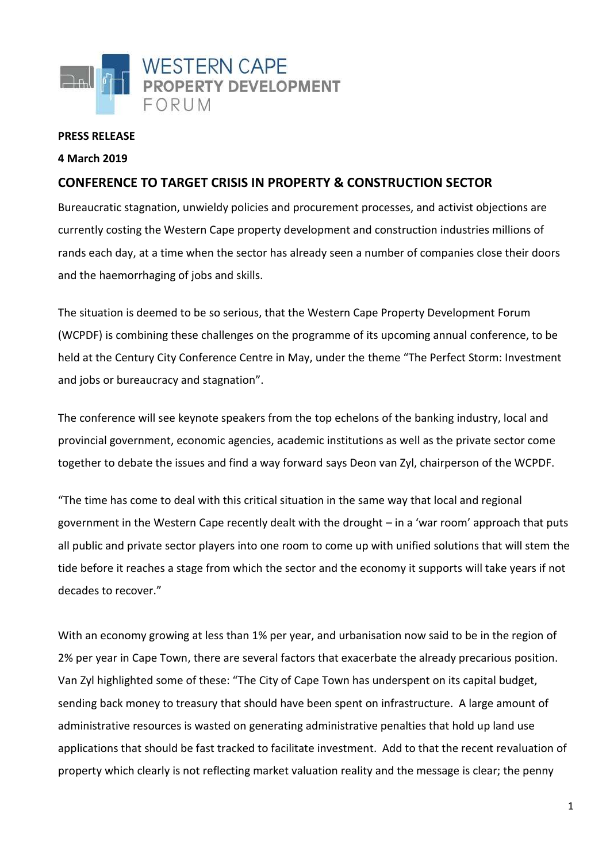

## **PRESS RELEASE**

## **4 March 2019**

## **CONFERENCE TO TARGET CRISIS IN PROPERTY & CONSTRUCTION SECTOR**

Bureaucratic stagnation, unwieldy policies and procurement processes, and activist objections are currently costing the Western Cape property development and construction industries millions of rands each day, at a time when the sector has already seen a number of companies close their doors and the haemorrhaging of jobs and skills.

The situation is deemed to be so serious, that the Western Cape Property Development Forum (WCPDF) is combining these challenges on the programme of its upcoming annual conference, to be held at the Century City Conference Centre in May, under the theme "The Perfect Storm: Investment and jobs or bureaucracy and stagnation".

The conference will see keynote speakers from the top echelons of the banking industry, local and provincial government, economic agencies, academic institutions as well as the private sector come together to debate the issues and find a way forward says Deon van Zyl, chairperson of the WCPDF.

"The time has come to deal with this critical situation in the same way that local and regional government in the Western Cape recently dealt with the drought – in a 'war room' approach that puts all public and private sector players into one room to come up with unified solutions that will stem the tide before it reaches a stage from which the sector and the economy it supports will take years if not decades to recover."

With an economy growing at less than 1% per year, and urbanisation now said to be in the region of 2% per year in Cape Town, there are several factors that exacerbate the already precarious position. Van Zyl highlighted some of these: "The City of Cape Town has underspent on its capital budget, sending back money to treasury that should have been spent on infrastructure. A large amount of administrative resources is wasted on generating administrative penalties that hold up land use applications that should be fast tracked to facilitate investment. Add to that the recent revaluation of property which clearly is not reflecting market valuation reality and the message is clear; the penny